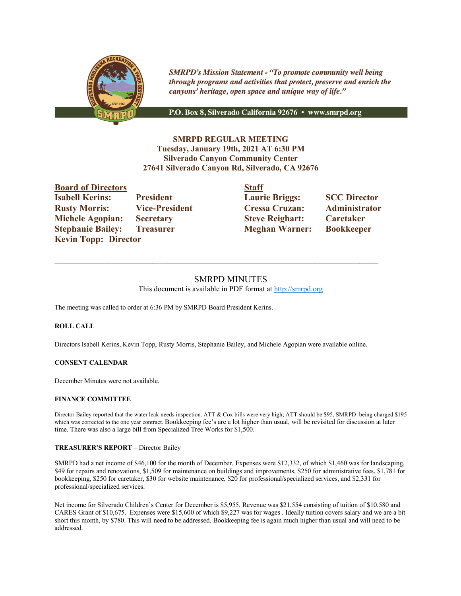

**SMRPD's Mission Statement - "To promote community well being** through programs and activities that protect, preserve and enrich the canyons' heritage, open space and unique way of life."

P.O. Box 8, Silverado California 92676 · www.smrpd.org

# **SMRPD REGULAR MEETING Tuesday, January 19th, 2021 AT 6:30 PM Silverado Canyon Community Center 27641 Silverado Canyon Rd, Silverado, CA 92676**

**Board of Directors Isabell Kerins:** President **Michele Agopian:** Secretary **Stephanie Bailey: Treasurer Kevin Topp: Director** 

| <b>Board of Directors</b> |                       | <b>Staff</b>           |                     |
|---------------------------|-----------------------|------------------------|---------------------|
| <b>Isabell Kerins:</b>    | <b>President</b>      | <b>Laurie Briggs:</b>  | <b>SCC Director</b> |
| <b>Rusty Morris:</b>      | <b>Vice-President</b> | <b>Cressa Cruzan:</b>  | Administrator       |
| <b>Michele Agopian:</b>   | <b>Secretary</b>      | <b>Steve Reighart:</b> | <b>Caretaker</b>    |
| <b>Stephanie Bailey:</b>  | <b>Treasurer</b>      | <b>Meghan Warner:</b>  | <b>Bookkeeper</b>   |

# SMRPD MINUTES This document is available in PDF format at http://smrpd.org

 $\mathcal{L}_\text{max}$ 

The meeting was called to order at 6:36 PM by SMRPD Board President Kerins.

### **ROLL CALL**

Directors Isabell Kerins, Kevin Topp, Rusty Morris, Stephanie Bailey, and Michele Agopian were available online.

### **CONSENT CALENDAR**

December Minutes were not available.

### **FINANCE COMMITTEE**

Director Bailey reported that the water leak needs inspection. ATT & Cox bills were very high; ATT should be \$95, SMRPD being charged \$195 which was corrected to the one year contract. Bookkeeping fee's are a lot higher than usual, will be revisited for discussion at later time. There was also a large bill from Specialized Tree Works for \$1,500.

### **TREASURER'S REPORT** – Director Bailey

SMRPD had a net income of \$46,100 for the month of December. Expenses were \$12,332, of which \$1,460 was for landscaping, \$49 for repairs and renovations, \$1,509 for maintenance on buildings and improvements, \$250 for administrative fees, \$1,781 for bookkeeping, \$250 for caretaker, \$30 for website maintenance, \$20 for professional/specialized services, and \$2,331 for professional/specialized services.

Net income for Silverado Children's Center for December is \$5,955. Revenue was \$21,554 consisting of tuition of \$10,580 and CARES Grant of \$10,675. Expenses were \$15,600 of which \$9,227 was for wages . Ideally tuition covers salary and we are a bit short this month, by \$780. This will need to be addressed. Bookkeeping fee is again much higher than usual and will need to be addressed.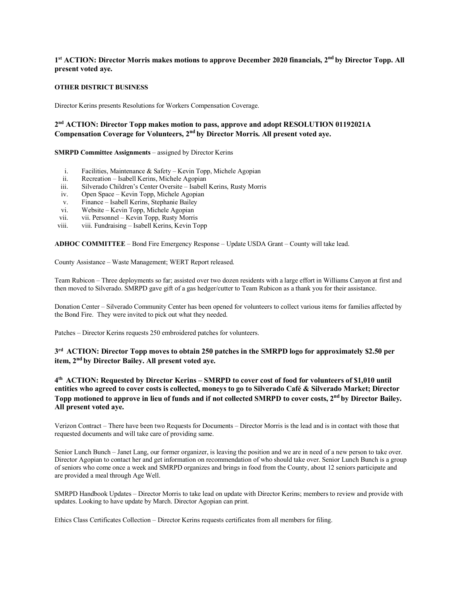## **1st ACTION: Director Morris makes motions to approve December 2020 financials, 2nd by Director Topp. All present voted aye.**

#### **OTHER DISTRICT BUSINESS**

Director Kerins presents Resolutions for Workers Compensation Coverage.

# **2nd ACTION: Director Topp makes motion to pass, approve and adopt RESOLUTION 01192021A Compensation Coverage for Volunteers, 2nd by Director Morris. All present voted aye.**

**SMRPD Committee Assignments** – assigned by Director Kerins

- i. Facilities, Maintenance & Safety Kevin Topp, Michele Agopian
- ii. Recreation Isabell Kerins, Michele Agopian
- iii. Silverado Children's Center Oversite Isabell Kerins, Rusty Morris
- iv. Open Space Kevin Topp, Michele Agopian
- v. Finance Isabell Kerins, Stephanie Bailey
- vi. Website Kevin Topp, Michele Agopian
- vii. vii. Personnel Kevin Topp, Rusty Morris
- viii. viii. Fundraising Isabell Kerins, Kevin Topp

**ADHOC COMMITTEE** – Bond Fire Emergency Response – Update USDA Grant – County will take lead.

County Assistance – Waste Management; WERT Report released.

Team Rubicon – Three deployments so far; assisted over two dozen residents with a large effort in Williams Canyon at first and then moved to Silverado. SMRPD gave gift of a gas hedger/cutter to Team Rubicon as a thank you for their assistance.

Donation Center – Silverado Community Center has been opened for volunteers to collect various items for families affected by the Bond Fire. They were invited to pick out what they needed.

Patches – Director Kerins requests 250 embroidered patches for volunteers.

**3rd ACTION: Director Topp moves to obtain 250 patches in the SMRPD logo for approximately \$2.50 per item, 2nd by Director Bailey. All present voted aye.** 

**4th ACTION: Requested by Director Kerins – SMRPD to cover cost of food for volunteers of \$1,010 until entities who agreed to cover costs is collected, moneys to go to Silverado Café & Silverado Market; Director Topp motioned to approve in lieu of funds and if not collected SMRPD to cover costs, 2nd by Director Bailey. All present voted aye.** 

Verizon Contract – There have been two Requests for Documents – Director Morris is the lead and is in contact with those that requested documents and will take care of providing same.

Senior Lunch Bunch – Janet Lang, our former organizer, is leaving the position and we are in need of a new person to take over. Director Agopian to contact her and get information on recommendation of who should take over. Senior Lunch Bunch is a group of seniors who come once a week and SMRPD organizes and brings in food from the County, about 12 seniors participate and are provided a meal through Age Well.

SMRPD Handbook Updates – Director Morris to take lead on update with Director Kerins; members to review and provide with updates. Looking to have update by March. Director Agopian can print.

Ethics Class Certificates Collection – Director Kerins requests certificates from all members for filing.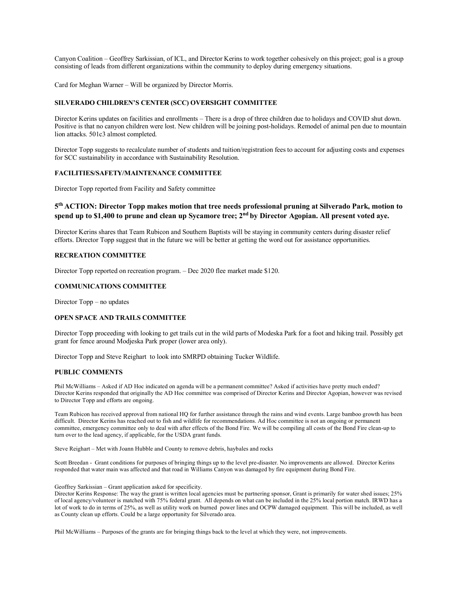Canyon Coalition – Geoffrey Sarkissian, of ICL, and Director Kerins to work together cohesively on this project; goal is a group consisting of leads from different organizations within the community to deploy during emergency situations.

Card for Meghan Warner – Will be organized by Director Morris.

#### **SILVERADO CHILDREN'S CENTER (SCC) OVERSIGHT COMMITTEE**

Director Kerins updates on facilities and enrollments – There is a drop of three children due to holidays and COVID shut down. Positive is that no canyon children were lost. New children will be joining post-holidays. Remodel of animal pen due to mountain lion attacks. 501c3 almost completed.

Director Topp suggests to recalculate number of students and tuition/registration fees to account for adjusting costs and expenses for SCC sustainability in accordance with Sustainability Resolution.

#### **FACILITIES/SAFETY/MAINTENANCE COMMITTEE**

Director Topp reported from Facility and Safety committee

## **5th ACTION: Director Topp makes motion that tree needs professional pruning at Silverado Park, motion to**  spend up to \$1,400 to prune and clean up Sycamore tree; 2<sup>nd</sup> by Director Agopian. All present voted aye.

Director Kerins shares that Team Rubicon and Southern Baptists will be staying in community centers during disaster relief efforts. Director Topp suggest that in the future we will be better at getting the word out for assistance opportunities.

#### **RECREATION COMMITTEE**

Director Topp reported on recreation program. – Dec 2020 flee market made \$120.

### **COMMUNICATIONS COMMITTEE**

Director Topp – no updates

#### **OPEN SPACE AND TRAILS COMMITTEE**

Director Topp proceeding with looking to get trails cut in the wild parts of Modeska Park for a foot and hiking trail. Possibly get grant for fence around Modjeska Park proper (lower area only).

Director Topp and Steve Reighart to look into SMRPD obtaining Tucker Wildlife.

#### **PUBLIC COMMENTS**

Phil McWilliams – Asked if AD Hoc indicated on agenda will be a permanent committee? Asked if activities have pretty much ended? Director Kerins responded that originally the AD Hoc committee was comprised of Director Kerins and Director Agopian, however was revised to Director Topp and efforts are ongoing.

Team Rubicon has received approval from national HQ for further assistance through the rains and wind events. Large bamboo growth has been difficult. Director Kerins has reached out to fish and wildlife for recommendations. Ad Hoc committee is not an ongoing or permanent committee, emergency committee only to deal with after effects of the Bond Fire. We will be compiling all costs of the Bond Fire clean-up to turn over to the lead agency, if applicable, for the USDA grant funds.

Steve Reighart – Met with Joann Hubble and County to remove debris, haybales and rocks

Scott Breedan - Grant conditions for purposes of bringing things up to the level pre-disaster. No improvements are allowed. Director Kerins responded that water main was affected and that road in Williams Canyon was damaged by fire equipment during Bond Fire.

#### Geoffrey Sarkissian – Grant application asked for specificity.

Director Kerins Response: The way the grant is written local agencies must be partnering sponsor, Grant is primarily for water shed issues; 25% of local agency/volunteer is matched with 75% federal grant. All depends on what can be included in the 25% local portion match. IRWD has a lot of work to do in terms of 25%, as well as utility work on burned power lines and OCPW damaged equipment. This will be included, as well as County clean up efforts. Could be a large opportunity for Silverado area.

Phil McWilliams – Purposes of the grants are for bringing things back to the level at which they were, not improvements.